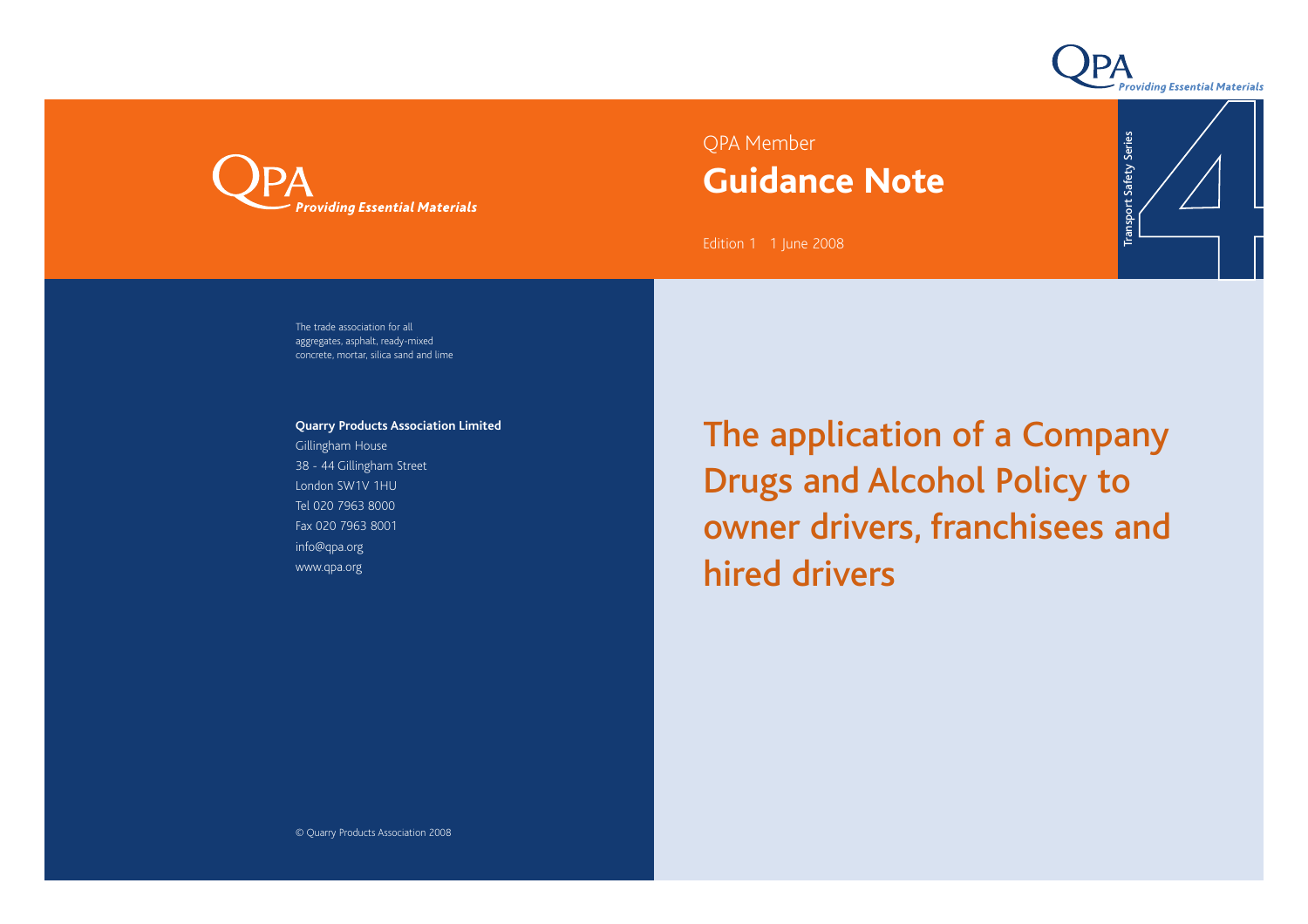

Transport Safety Series

**Transport Safety Series** 



# QPA Member **Guidance Note**

Edition 1 1 June 2008

The trade association for all aggregates, asphalt, ready-mixed concrete, mortar, silica sand and lime

**Quarry Products Association Limited**

Gillingham House 38 - 44 Gillingham Street London SW1V 1HU Tel 020 7963 8000 Fax 020 7963 8001 info@qpa.org www.qpa.org

The application of a Company Drugs and Alcohol Policy to owner drivers, franchisees and hired drivers